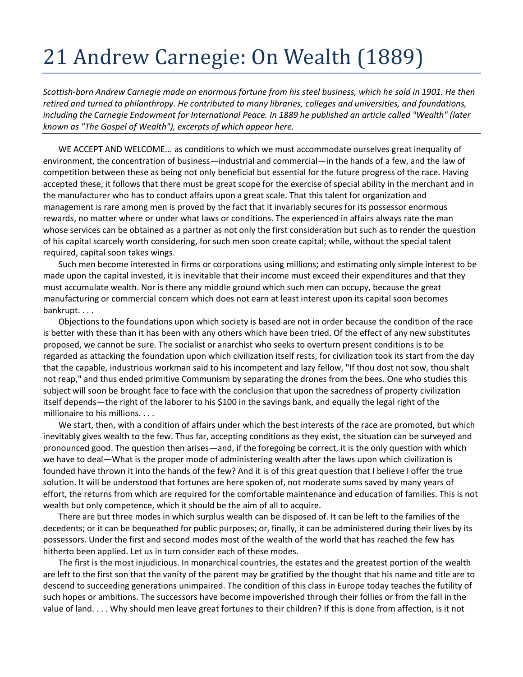## 21 Andrew Carnegie: On Wealth (1889)

*Scottish-born Andrew Carnegie made an enormous fortune from his steel business, which he sold in 1901. He then retired and turned to philanthropy. He contributed to many libraries, colleges and universities, and foundations, including the Carnegie Endowment for International Peace. In 1889 he published an article called "Wealth" (later known as "The Gospel of Wealth"), excerpts of which appear here.* 

WE ACCEPT AND WELCOME... as conditions to which we must accommodate ourselves great inequality of environment, the concentration of business—industrial and commercial—in the hands of a few, and the law of competition between these as being not only beneficial but essential for the future progress of the race. Having accepted these, it follows that there must be great scope for the exercise of special ability in the merchant and in the manufacturer who has to conduct affairs upon a great scale. That this talent for organization and management is rare among men is proved by the fact that it invariably secures for its possessor enormous rewards, no matter where or under what laws or conditions. The experienced in affairs always rate the man whose services can be obtained as a partner as not only the first consideration but such as to render the question of his capital scarcely worth considering, for such men soon create capital; while, without the special talent required, capital soon takes wings.

Such men become interested in firms or corporations using millions; and estimating only simple interest to be made upon the capital invested, it is inevitable that their income must exceed their expenditures and that they must accumulate wealth. Nor is there any middle ground which such men can occupy, because the great manufacturing or commercial concern which does not earn at least interest upon its capital soon becomes bankrupt. . . .

Objections to the foundations upon which society is based are not in order because the condition of the race is better with these than it has been with any others which have been tried. Of the effect of any new substitutes proposed, we cannot be sure. The socialist or anarchist who seeks to overturn present conditions is to be regarded as attacking the foundation upon which civilization itself rests, for civilization took its start from the day that the capable, industrious workman said to his incompetent and lazy fellow, "If thou dost not sow, thou shalt not reap," and thus ended primitive Communism by separating the drones from the bees. One who studies this subject will soon be brought face to face with the conclusion that upon the sacredness of property civilization itself depends—the right of the laborer to his \$100 in the savings bank, and equally the legal right of the millionaire to his millions. . . .

We start, then, with a condition of affairs under which the best interests of the race are promoted, but which inevitably gives wealth to the few. Thus far, accepting conditions as they exist, the situation can be surveyed and pronounced good. The question then arises—and, if the foregoing be correct, it is the only question with which we have to deal—What is the proper mode of administering wealth after the laws upon which civilization is founded have thrown it into the hands of the few? And it is of this great question that I believe I offer the true solution. It will be understood that fortunes are here spoken of, not moderate sums saved by many years of effort, the returns from which are required for the comfortable maintenance and education of families. This is not wealth but only competence, which it should be the aim of all to acquire.

There are but three modes in which surplus wealth can be disposed of. It can be left to the families of the decedents; or it can be bequeathed for public purposes; or, finally, it can be administered during their lives by its possessors. Under the first and second modes most of the wealth of the world that has reached the few has hitherto been applied. Let us in turn consider each of these modes.

The first is the most injudicious. In monarchical countries, the estates and the greatest portion of the wealth are left to the first son that the vanity of the parent may be gratified by the thought that his name and title are to descend to succeeding generations unimpaired. The condition of this class in Europe today teaches the futility of such hopes or ambitions. The successors have become impoverished through their follies or from the fall in the value of land. . . . Why should men leave great fortunes to their children? If this is done from affection, is it not